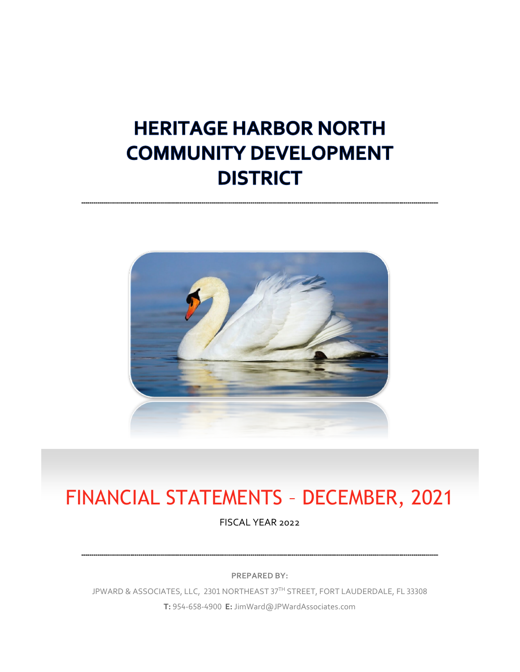# **HERITAGE HARBOR NORTH COMMUNITY DEVELOPMENT DISTRICT**



# FINANCIAL STATEMENTS – DECEMBER, 2021

FISCAL YEAR 2022

**PREPARED BY:**

JPWARD & ASSOCIATES, LLC, 2301 NORTHEAST 37TH STREET, FORT LAUDERDALE, FL 33308 **T:** 954-658-4900 **E:** JimWard@JPWardAssociates.com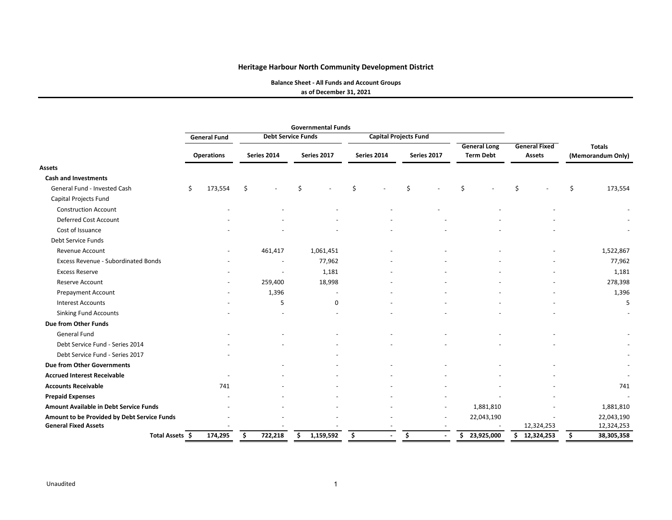**Balance Sheet ‐ All Funds and Account Groups**

**as of December 31, 2021**

|                                             | <b>Governmental Funds</b> |                   |    |                           |   |             |     |                              |    |             |     |                     |                      |            |                   |            |
|---------------------------------------------|---------------------------|-------------------|----|---------------------------|---|-------------|-----|------------------------------|----|-------------|-----|---------------------|----------------------|------------|-------------------|------------|
|                                             | <b>General Fund</b>       |                   |    | <b>Debt Service Funds</b> |   |             |     | <b>Capital Projects Fund</b> |    |             |     |                     |                      |            |                   |            |
|                                             |                           |                   |    |                           |   |             |     |                              |    |             |     | <b>General Long</b> | <b>General Fixed</b> |            | <b>Totals</b>     |            |
|                                             |                           | <b>Operations</b> |    | Series 2014               |   | Series 2017 |     | Series 2014                  |    | Series 2017 |     | <b>Term Debt</b>    |                      | Assets     | (Memorandum Only) |            |
| <b>Assets</b>                               |                           |                   |    |                           |   |             |     |                              |    |             |     |                     |                      |            |                   |            |
| <b>Cash and Investments</b>                 |                           |                   |    |                           |   |             |     |                              |    |             |     |                     |                      |            |                   |            |
| General Fund - Invested Cash                | \$                        | 173,554           | \$ |                           | Ś |             | Ś   |                              | Ś  |             | \$  |                     | Ś                    |            | Ś                 | 173,554    |
| Capital Projects Fund                       |                           |                   |    |                           |   |             |     |                              |    |             |     |                     |                      |            |                   |            |
| <b>Construction Account</b>                 |                           |                   |    |                           |   |             |     |                              |    |             |     |                     |                      |            |                   |            |
| Deferred Cost Account                       |                           |                   |    |                           |   |             |     |                              |    |             |     |                     |                      |            |                   |            |
| Cost of Issuance                            |                           |                   |    |                           |   |             |     |                              |    |             |     |                     |                      |            |                   |            |
| Debt Service Funds                          |                           |                   |    |                           |   |             |     |                              |    |             |     |                     |                      |            |                   |            |
| Revenue Account                             |                           |                   |    | 461,417                   |   | 1,061,451   |     |                              |    |             |     |                     |                      |            |                   | 1,522,867  |
| Excess Revenue - Subordinated Bonds         |                           |                   |    |                           |   | 77,962      |     |                              |    |             |     |                     |                      |            |                   | 77,962     |
| <b>Excess Reserve</b>                       |                           |                   |    |                           |   | 1,181       |     |                              |    |             |     |                     |                      |            |                   | 1,181      |
| Reserve Account                             |                           |                   |    | 259,400                   |   | 18,998      |     |                              |    |             |     |                     |                      |            |                   | 278,398    |
| <b>Prepayment Account</b>                   |                           |                   |    | 1,396                     |   |             |     |                              |    |             |     |                     |                      |            |                   | 1,396      |
| <b>Interest Accounts</b>                    |                           |                   |    | 5                         |   | $\mathbf 0$ |     |                              |    |             |     |                     |                      |            |                   | 5          |
| <b>Sinking Fund Accounts</b>                |                           |                   |    |                           |   |             |     |                              |    |             |     |                     |                      |            |                   |            |
| <b>Due from Other Funds</b>                 |                           |                   |    |                           |   |             |     |                              |    |             |     |                     |                      |            |                   |            |
| General Fund                                |                           |                   |    |                           |   |             |     |                              |    |             |     |                     |                      |            |                   |            |
| Debt Service Fund - Series 2014             |                           |                   |    |                           |   |             |     |                              |    |             |     |                     |                      |            |                   |            |
| Debt Service Fund - Series 2017             |                           |                   |    |                           |   |             |     |                              |    |             |     |                     |                      |            |                   |            |
| <b>Due from Other Governments</b>           |                           |                   |    |                           |   |             |     |                              |    |             |     |                     |                      |            |                   |            |
| <b>Accrued Interest Receivable</b>          |                           |                   |    |                           |   |             |     |                              |    |             |     |                     |                      |            |                   |            |
| <b>Accounts Receivable</b>                  |                           | 741               |    |                           |   |             |     |                              |    |             |     |                     |                      |            |                   | 741        |
| <b>Prepaid Expenses</b>                     |                           |                   |    |                           |   |             |     |                              |    |             |     |                     |                      |            |                   |            |
| Amount Available in Debt Service Funds      |                           |                   |    |                           |   |             |     |                              |    |             |     | 1,881,810           |                      |            |                   | 1,881,810  |
| Amount to be Provided by Debt Service Funds |                           |                   |    |                           |   |             |     |                              |    |             |     | 22,043,190          |                      |            |                   | 22,043,190 |
| <b>General Fixed Assets</b>                 |                           |                   |    |                           |   |             |     |                              |    |             |     |                     |                      | 12,324,253 |                   | 12,324,253 |
| Total Assets \$                             |                           | 174,295           |    | 722,218                   |   | 1,159,592   | \$. |                              | \$ |             | \$. | 23,925,000          | Ś.                   | 12,324,253 |                   | 38,305,358 |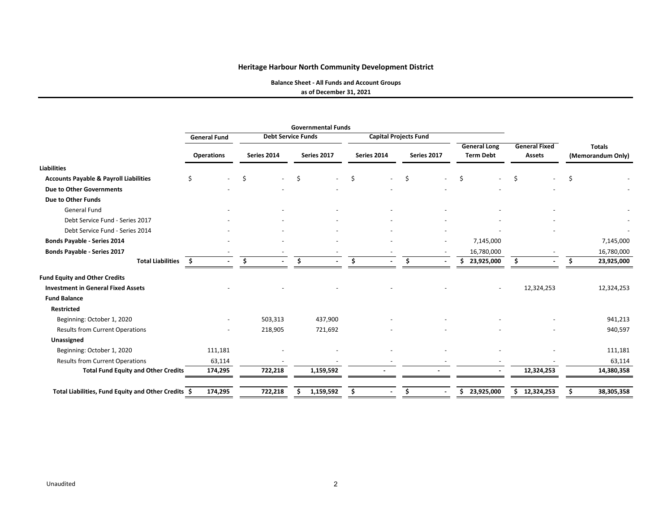**Balance Sheet ‐ All Funds and Account Groups**

**as of December 31, 2021**

|                                                     | <b>General Fund</b> |                                | <b>Debt Service Funds</b> |                                | <b>Capital Projects Fund</b> |                                         |                                       |                                    |  |
|-----------------------------------------------------|---------------------|--------------------------------|---------------------------|--------------------------------|------------------------------|-----------------------------------------|---------------------------------------|------------------------------------|--|
|                                                     | <b>Operations</b>   | Series 2014                    | Series 2017               | Series 2014                    | Series 2017                  | <b>General Long</b><br><b>Term Debt</b> | <b>General Fixed</b><br><b>Assets</b> | <b>Totals</b><br>(Memorandum Only) |  |
| <b>Liabilities</b>                                  |                     |                                |                           |                                |                              |                                         |                                       |                                    |  |
| <b>Accounts Payable &amp; Payroll Liabilities</b>   | Ś.                  | Ŝ.<br>$\overline{\phantom{a}}$ | Ŝ.                        | \$<br>$\overline{\phantom{0}}$ | \$                           | Ś.                                      | Ś.                                    | Ś                                  |  |
| <b>Due to Other Governments</b>                     |                     |                                |                           |                                |                              |                                         |                                       |                                    |  |
| Due to Other Funds                                  |                     |                                |                           |                                |                              |                                         |                                       |                                    |  |
| General Fund                                        |                     |                                |                           |                                |                              |                                         |                                       |                                    |  |
| Debt Service Fund - Series 2017                     |                     |                                |                           |                                |                              |                                         |                                       |                                    |  |
| Debt Service Fund - Series 2014                     |                     |                                |                           |                                |                              |                                         |                                       |                                    |  |
| <b>Bonds Payable - Series 2014</b>                  |                     |                                |                           |                                |                              | 7,145,000                               |                                       | 7,145,000                          |  |
| Bonds Payable - Series 2017                         |                     |                                |                           |                                |                              | 16,780,000                              |                                       | 16,780,000                         |  |
| <b>Total Liabilities</b>                            | -\$                 |                                | Ŝ.                        | Ŝ.                             | Ś.                           | 23,925,000<br>\$.                       | Ś                                     | 23,925,000                         |  |
| <b>Fund Equity and Other Credits</b>                |                     |                                |                           |                                |                              |                                         |                                       |                                    |  |
| <b>Investment in General Fixed Assets</b>           |                     |                                |                           |                                |                              |                                         | 12,324,253                            | 12,324,253                         |  |
| <b>Fund Balance</b>                                 |                     |                                |                           |                                |                              |                                         |                                       |                                    |  |
| Restricted                                          |                     |                                |                           |                                |                              |                                         |                                       |                                    |  |
| Beginning: October 1, 2020                          |                     | 503,313                        | 437,900                   |                                |                              |                                         |                                       | 941,213                            |  |
| <b>Results from Current Operations</b>              |                     | 218,905                        | 721,692                   |                                |                              |                                         |                                       | 940,597                            |  |
| Unassigned                                          |                     |                                |                           |                                |                              |                                         |                                       |                                    |  |
| Beginning: October 1, 2020                          | 111,181             |                                |                           |                                |                              |                                         |                                       | 111,181                            |  |
| <b>Results from Current Operations</b>              | 63,114              |                                |                           |                                |                              |                                         |                                       | 63,114                             |  |
| <b>Total Fund Equity and Other Credits</b>          | 174,295             | 722,218                        | 1,159,592                 |                                |                              |                                         | 12,324,253                            | 14,380,358                         |  |
| Total Liabilities, Fund Equity and Other Credits \$ | 174,295             | 722,218                        | 1,159,592                 | Ś                              | Ś.                           | 23,925,000<br>S.                        | 12,324,253<br>\$                      | 38,305,358                         |  |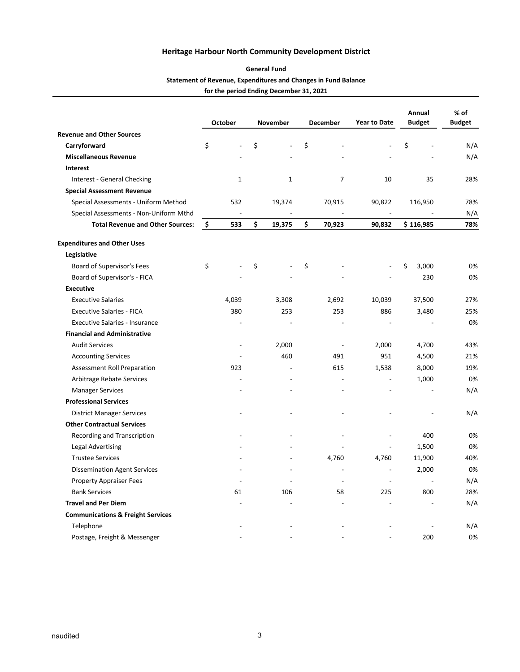#### **General Fund**

#### **Statement of Revenue, Expenditures and Changes in Fund Balance**

**for the period Ending December 31, 2021**

|                                              |    | October                  |    | November       | <b>December</b> | <b>Year to Date</b>      | Annual<br><b>Budget</b> | $%$ of<br><b>Budget</b> |  |
|----------------------------------------------|----|--------------------------|----|----------------|-----------------|--------------------------|-------------------------|-------------------------|--|
| <b>Revenue and Other Sources</b>             |    |                          |    |                |                 |                          |                         |                         |  |
| Carryforward                                 | \$ |                          | \$ |                | \$              |                          | \$                      | N/A                     |  |
| <b>Miscellaneous Revenue</b>                 |    |                          |    |                |                 |                          |                         | N/A                     |  |
| Interest                                     |    |                          |    |                |                 |                          |                         |                         |  |
| Interest - General Checking                  |    | 1                        |    | $\mathbf{1}$   | 7               | 10                       | 35                      | 28%                     |  |
| <b>Special Assessment Revenue</b>            |    |                          |    |                |                 |                          |                         |                         |  |
| Special Assessments - Uniform Method         |    | 532                      |    | 19,374         | 70,915          | 90,822                   | 116,950                 | 78%                     |  |
| Special Assessments - Non-Uniform Mthd       |    | $\overline{\phantom{a}}$ |    |                |                 | $\overline{\phantom{a}}$ |                         | N/A                     |  |
| <b>Total Revenue and Other Sources:</b>      | \$ | 533                      | \$ | 19,375         | \$<br>70,923    | 90,832                   | \$116,985               | 78%                     |  |
| <b>Expenditures and Other Uses</b>           |    |                          |    |                |                 |                          |                         |                         |  |
| Legislative                                  |    |                          |    |                |                 |                          |                         |                         |  |
| Board of Supervisor's Fees                   | \$ |                          | \$ |                | \$              |                          | \$<br>3,000             | 0%                      |  |
| Board of Supervisor's - FICA                 |    |                          |    |                |                 |                          | 230                     | 0%                      |  |
| <b>Executive</b>                             |    |                          |    |                |                 |                          |                         |                         |  |
| <b>Executive Salaries</b>                    |    | 4,039                    |    | 3,308          | 2,692           | 10,039                   | 37,500                  | 27%                     |  |
| <b>Executive Salaries - FICA</b>             |    | 380                      |    | 253            | 253             | 886                      | 3,480                   | 25%                     |  |
| <b>Executive Salaries - Insurance</b>        |    |                          |    | $\overline{a}$ | $\overline{a}$  | $\overline{a}$           |                         | 0%                      |  |
| <b>Financial and Administrative</b>          |    |                          |    |                |                 |                          |                         |                         |  |
| <b>Audit Services</b>                        |    | $\overline{a}$           |    | 2,000          | $\overline{a}$  | 2,000                    | 4,700                   | 43%                     |  |
| <b>Accounting Services</b>                   |    |                          |    | 460            | 491             | 951                      | 4,500                   | 21%                     |  |
| Assessment Roll Preparation                  |    | 923                      |    | $\overline{a}$ | 615             | 1,538                    | 8,000                   | 19%                     |  |
| Arbitrage Rebate Services                    |    |                          |    |                |                 | $\overline{a}$           | 1,000                   | 0%                      |  |
| <b>Manager Services</b>                      |    |                          |    |                |                 |                          |                         | N/A                     |  |
| <b>Professional Services</b>                 |    |                          |    |                |                 |                          |                         |                         |  |
| <b>District Manager Services</b>             |    |                          |    |                |                 |                          |                         | N/A                     |  |
| <b>Other Contractual Services</b>            |    |                          |    |                |                 |                          |                         |                         |  |
| Recording and Transcription                  |    |                          |    |                |                 |                          | 400                     | 0%                      |  |
| Legal Advertising                            |    |                          |    |                |                 |                          | 1,500                   | 0%                      |  |
| <b>Trustee Services</b>                      |    |                          |    |                | 4,760           | 4,760                    | 11,900                  | 40%                     |  |
| <b>Dissemination Agent Services</b>          |    |                          |    |                | $\overline{a}$  | $\overline{a}$           | 2,000                   | 0%                      |  |
| Property Appraiser Fees                      |    |                          |    |                | $\overline{a}$  | $\overline{a}$           | L,                      | N/A                     |  |
| <b>Bank Services</b>                         |    | 61                       |    | 106            | 58              | 225                      | 800                     | 28%                     |  |
| <b>Travel and Per Diem</b>                   |    |                          |    |                |                 |                          |                         | N/A                     |  |
| <b>Communications &amp; Freight Services</b> |    |                          |    |                |                 |                          |                         |                         |  |
| Telephone                                    |    |                          |    |                |                 |                          |                         | N/A                     |  |
| Postage, Freight & Messenger                 |    |                          |    |                |                 |                          | 200                     | 0%                      |  |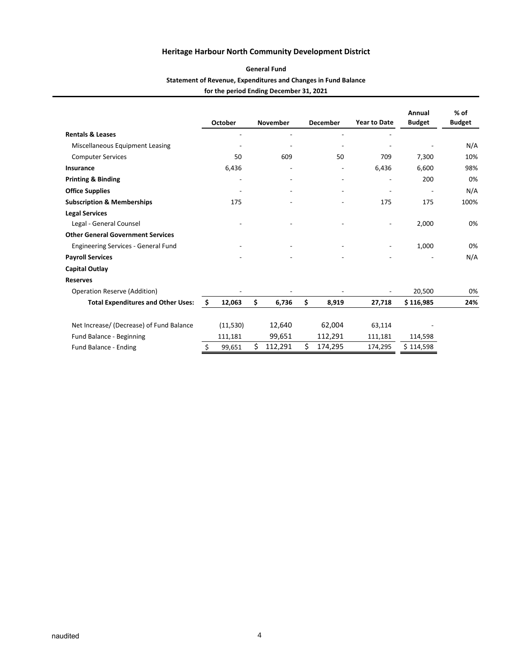#### **General Fund**

#### **Statement of Revenue, Expenditures and Changes in Fund Balance**

**for the period Ending December 31, 2021**

|                                           |    | October   | <b>November</b>          |    | <b>December</b>          | <b>Year to Date</b> | Annual<br><b>Budget</b> | % of<br><b>Budget</b> |
|-------------------------------------------|----|-----------|--------------------------|----|--------------------------|---------------------|-------------------------|-----------------------|
| <b>Rentals &amp; Leases</b>               |    |           |                          |    | ٠                        |                     |                         |                       |
| Miscellaneous Equipment Leasing           |    |           |                          |    |                          |                     |                         | N/A                   |
| <b>Computer Services</b>                  |    | 50        | 609                      |    | 50                       | 709                 | 7,300                   | 10%                   |
| Insurance                                 |    | 6,436     | $\overline{\phantom{0}}$ |    |                          | 6,436               | 6,600                   | 98%                   |
| <b>Printing &amp; Binding</b>             |    |           |                          |    | $\overline{\phantom{a}}$ |                     | 200                     | 0%                    |
| <b>Office Supplies</b>                    |    |           |                          |    |                          |                     |                         | N/A                   |
| <b>Subscription &amp; Memberships</b>     |    | 175       |                          |    |                          | 175                 | 175                     | 100%                  |
| <b>Legal Services</b>                     |    |           |                          |    |                          |                     |                         |                       |
| Legal - General Counsel                   |    |           |                          |    |                          |                     | 2,000                   | 0%                    |
| <b>Other General Government Services</b>  |    |           |                          |    |                          |                     |                         |                       |
| Engineering Services - General Fund       |    |           |                          |    |                          |                     | 1,000                   | 0%                    |
| <b>Payroll Services</b>                   |    |           |                          |    |                          |                     |                         | N/A                   |
| <b>Capital Outlay</b>                     |    |           |                          |    |                          |                     |                         |                       |
| <b>Reserves</b>                           |    |           |                          |    |                          |                     |                         |                       |
| Operation Reserve (Addition)              |    |           |                          |    |                          |                     | 20,500                  | 0%                    |
| <b>Total Expenditures and Other Uses:</b> | Ŝ. | 12,063    | \$<br>6,736              | \$ | 8,919                    | 27,718              | \$116,985               | 24%                   |
| Net Increase/ (Decrease) of Fund Balance  |    | (11, 530) | 12,640                   |    | 62,004                   | 63,114              |                         |                       |
| Fund Balance - Beginning                  |    | 111,181   | 99,651                   |    | 112,291                  | 111,181             | 114,598                 |                       |
| Fund Balance - Ending                     | Ś. | 99,651    | \$<br>112,291            | Ś  | 174,295                  | 174,295             | \$114,598               |                       |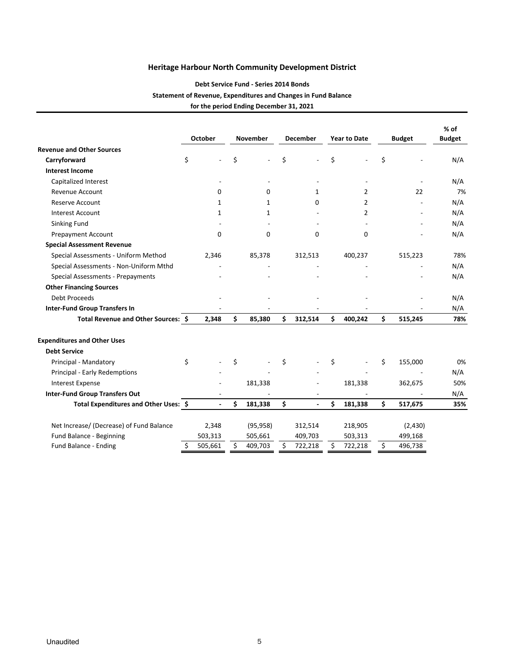## **Debt Service Fund ‐ Series 2014 Bonds Statement of Revenue, Expenditures and Changes in Fund Balance for the period Ending December 31, 2021**

|                                          |    | <b>October</b> |    | <b>November</b> |    | <b>December</b> |    | <b>Year to Date</b> |     | <b>Budget</b> | % of<br><b>Budget</b> |
|------------------------------------------|----|----------------|----|-----------------|----|-----------------|----|---------------------|-----|---------------|-----------------------|
| <b>Revenue and Other Sources</b>         |    |                |    |                 |    |                 |    |                     |     |               |                       |
| Carryforward                             | \$ |                | \$ |                 | Ś  |                 | \$ |                     | \$  |               | N/A                   |
| <b>Interest Income</b>                   |    |                |    |                 |    |                 |    |                     |     |               |                       |
| Capitalized Interest                     |    |                |    |                 |    |                 |    |                     |     |               | N/A                   |
| Revenue Account                          |    | $\Omega$       |    | 0               |    | 1               |    | $\overline{2}$      |     | 22            | 7%                    |
| <b>Reserve Account</b>                   |    | $\mathbf{1}$   |    | $\mathbf{1}$    |    | 0               |    | $\overline{2}$      |     |               | N/A                   |
| <b>Interest Account</b>                  |    | $\mathbf{1}$   |    | $\mathbf{1}$    |    |                 |    | $\overline{2}$      |     |               | N/A                   |
| Sinking Fund                             |    |                |    |                 |    |                 |    |                     |     |               | N/A                   |
| <b>Prepayment Account</b>                |    | $\Omega$       |    | 0               |    | $\mathbf 0$     |    | $\Omega$            |     |               | N/A                   |
| <b>Special Assessment Revenue</b>        |    |                |    |                 |    |                 |    |                     |     |               |                       |
| Special Assessments - Uniform Method     |    | 2,346          |    | 85,378          |    | 312,513         |    | 400,237             |     | 515,223       | 78%                   |
| Special Assessments - Non-Uniform Mthd   |    |                |    |                 |    |                 |    |                     |     |               | N/A                   |
| Special Assessments - Prepayments        |    |                |    |                 |    |                 |    |                     |     |               | N/A                   |
| <b>Other Financing Sources</b>           |    |                |    |                 |    |                 |    |                     |     |               |                       |
| Debt Proceeds                            |    |                |    |                 |    |                 |    |                     |     |               | N/A                   |
| <b>Inter-Fund Group Transfers In</b>     |    |                |    |                 |    |                 |    |                     |     |               | N/A                   |
| Total Revenue and Other Sources: \$      |    | 2,348          | \$ | 85,380          | \$ | 312,514         | \$ | 400,242             | \$  | 515,245       | 78%                   |
| <b>Expenditures and Other Uses</b>       |    |                |    |                 |    |                 |    |                     |     |               |                       |
| <b>Debt Service</b>                      |    |                |    |                 |    |                 |    |                     |     |               |                       |
| Principal - Mandatory                    | \$ |                | \$ |                 | Ś  |                 | \$ |                     | \$  | 155,000       | 0%                    |
| Principal - Early Redemptions            |    |                |    |                 |    |                 |    |                     |     |               | N/A                   |
| <b>Interest Expense</b>                  |    |                |    | 181,338         |    |                 |    | 181,338             |     | 362,675       | 50%                   |
| <b>Inter-Fund Group Transfers Out</b>    |    |                |    |                 |    |                 |    |                     |     |               | N/A                   |
| Total Expenditures and Other Uses: \$    |    |                | Ś  | 181,338         | \$ |                 | Ś. | 181,338             | \$. | 517,675       | 35%                   |
| Net Increase/ (Decrease) of Fund Balance |    | 2,348          |    | (95, 958)       |    | 312,514         |    | 218,905             |     | (2,430)       |                       |
| Fund Balance - Beginning                 |    | 503,313        |    | 505,661         |    | 409,703         |    | 503,313             |     | 499,168       |                       |
| Fund Balance - Ending                    | Ś  | 505,661        | Ś  | 409,703         | Ś. | 722,218         | Ŝ  | 722,218             | \$  | 496,738       |                       |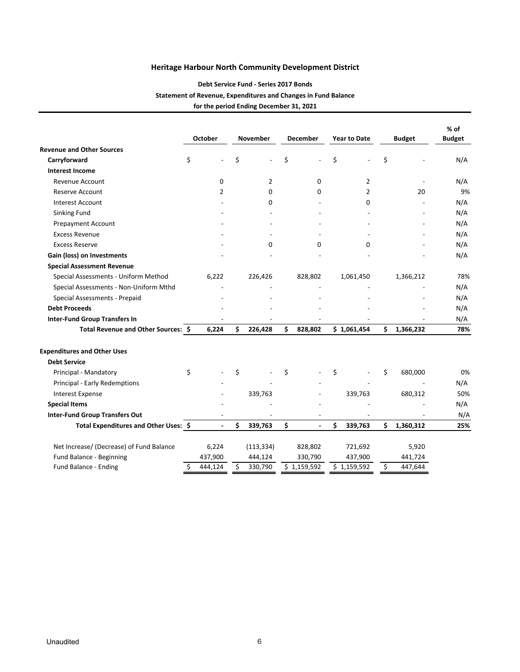## **Debt Service Fund ‐ Series 2017 Bonds Statement of Revenue, Expenditures and Changes in Fund Balance for the period Ending December 31, 2021**

|                                          |    | October        |    | <b>November</b> |    | <b>December</b>          |    | <b>Year to Date</b> |    | <b>Budget</b> | % of<br><b>Budget</b> |
|------------------------------------------|----|----------------|----|-----------------|----|--------------------------|----|---------------------|----|---------------|-----------------------|
| <b>Revenue and Other Sources</b>         |    |                |    |                 |    |                          |    |                     |    |               |                       |
| Carryforward                             | \$ |                | \$ |                 | \$ | $\overline{a}$           | \$ |                     | \$ |               | N/A                   |
| <b>Interest Income</b>                   |    |                |    |                 |    |                          |    |                     |    |               |                       |
| Revenue Account                          |    | 0              |    | $\overline{2}$  |    | 0                        |    | $\overline{2}$      |    |               | N/A                   |
| <b>Reserve Account</b>                   |    | $\overline{2}$ |    | $\Omega$        |    | $\Omega$                 |    | $\overline{2}$      |    | 20            | 9%                    |
| <b>Interest Account</b>                  |    |                |    | 0               |    |                          |    | $\Omega$            |    |               | N/A                   |
| Sinking Fund                             |    |                |    |                 |    |                          |    |                     |    |               | N/A                   |
| Prepayment Account                       |    |                |    |                 |    |                          |    |                     |    |               | N/A                   |
| <b>Excess Revenue</b>                    |    |                |    |                 |    |                          |    |                     |    |               | N/A                   |
| <b>Excess Reserve</b>                    |    |                |    | $\Omega$        |    | $\Omega$                 |    | $\Omega$            |    |               | N/A                   |
| Gain (loss) on Investments               |    |                |    |                 |    |                          |    |                     |    |               | N/A                   |
| <b>Special Assessment Revenue</b>        |    |                |    |                 |    |                          |    |                     |    |               |                       |
| Special Assessments - Uniform Method     |    | 6,222          |    | 226,426         |    | 828,802                  |    | 1,061,450           |    | 1,366,212     | 78%                   |
| Special Assessments - Non-Uniform Mthd   |    |                |    |                 |    |                          |    |                     |    |               | N/A                   |
| Special Assessments - Prepaid            |    |                |    |                 |    |                          |    |                     |    |               | N/A                   |
| <b>Debt Proceeds</b>                     |    |                |    |                 |    |                          |    |                     |    |               | N/A                   |
| <b>Inter-Fund Group Transfers In</b>     |    |                |    |                 |    |                          |    |                     |    |               | N/A                   |
| Total Revenue and Other Sources: \$      |    | 6,224          | \$ | 226,428         | \$ | 828,802                  |    | \$1,061,454         | \$ | 1,366,232     | 78%                   |
| <b>Expenditures and Other Uses</b>       |    |                |    |                 |    |                          |    |                     |    |               |                       |
| <b>Debt Service</b>                      |    |                |    |                 |    |                          |    |                     |    |               |                       |
| Principal - Mandatory                    | \$ |                | \$ |                 | \$ |                          | \$ |                     | \$ | 680,000       | 0%                    |
| Principal - Early Redemptions            |    |                |    |                 |    |                          |    |                     |    |               | N/A                   |
| <b>Interest Expense</b>                  |    |                |    | 339,763         |    |                          |    | 339,763             |    | 680,312       | 50%                   |
| <b>Special Items</b>                     |    |                |    |                 |    |                          |    |                     |    |               | N/A                   |
| <b>Inter-Fund Group Transfers Out</b>    |    |                |    |                 |    | $\overline{\phantom{a}}$ |    |                     |    |               | N/A                   |
| Total Expenditures and Other Uses: \$    |    | $\overline{a}$ | Ś  | 339,763         | \$ | $\overline{a}$           | \$ | 339,763             | Ś  | 1,360,312     | 25%                   |
| Net Increase/ (Decrease) of Fund Balance |    | 6,224          |    | (113, 334)      |    | 828,802                  |    | 721,692             |    | 5,920         |                       |
| Fund Balance - Beginning                 |    | 437,900        |    | 444,124         |    | 330,790                  |    | 437,900             |    | 441,724       |                       |
| Fund Balance - Ending                    | Ś  | 444,124        | \$ | 330,790         |    | \$1,159,592              |    | \$1,159,592         | Ś  | 447,644       |                       |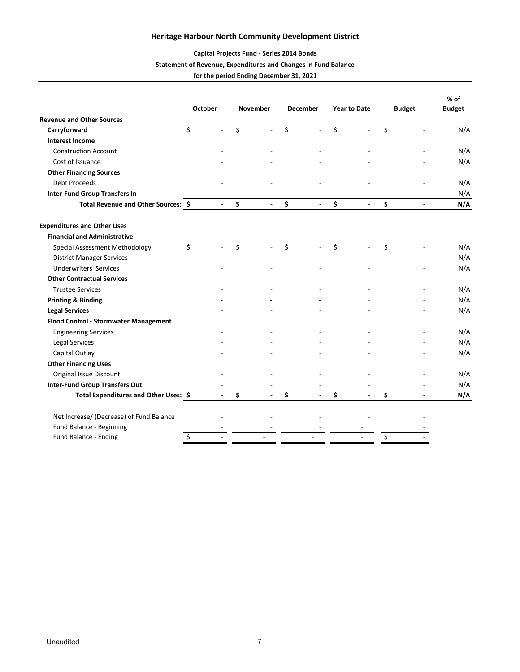## **Capital Projects Fund ‐ Series 2014 Bonds**

#### **Statement of Revenue, Expenditures and Changes in Fund Balance for the period Ending December 31, 2021**

|                                          | <b>October</b> |                | <b>November</b>      |    | <b>December</b>          |    | <b>Year to Date</b> | <b>Budget</b>        | % of<br><b>Budget</b> |
|------------------------------------------|----------------|----------------|----------------------|----|--------------------------|----|---------------------|----------------------|-----------------------|
| <b>Revenue and Other Sources</b>         |                |                |                      |    |                          |    |                     |                      |                       |
| Carryforward                             | \$             |                | \$                   | Ś  |                          | Ś. |                     | \$                   | N/A                   |
| <b>Interest Income</b>                   |                |                |                      |    |                          |    |                     |                      |                       |
| <b>Construction Account</b>              |                |                |                      |    |                          |    |                     |                      | N/A                   |
| Cost of Issuance                         |                |                |                      |    |                          |    |                     |                      | N/A                   |
| <b>Other Financing Sources</b>           |                |                |                      |    |                          |    |                     |                      |                       |
| <b>Debt Proceeds</b>                     |                |                |                      |    |                          |    |                     |                      | N/A                   |
| <b>Inter-Fund Group Transfers In</b>     |                |                |                      |    |                          |    |                     |                      | N/A                   |
| Total Revenue and Other Sources: \$      |                | $\overline{a}$ | \$                   | \$ | $\overline{a}$           | \$ |                     | \$<br>$\overline{a}$ | N/A                   |
| <b>Expenditures and Other Uses</b>       |                |                |                      |    |                          |    |                     |                      |                       |
| <b>Financial and Administrative</b>      |                |                |                      |    |                          |    |                     |                      |                       |
| Special Assessment Methodology           | \$             |                | \$                   | \$ |                          | \$ |                     | \$                   | N/A                   |
| <b>District Manager Services</b>         |                |                |                      |    |                          |    |                     |                      | N/A                   |
| <b>Underwriters' Services</b>            |                |                |                      |    |                          |    |                     |                      | N/A                   |
| <b>Other Contractual Services</b>        |                |                |                      |    |                          |    |                     |                      |                       |
| <b>Trustee Services</b>                  |                |                |                      |    |                          |    |                     |                      | N/A                   |
| <b>Printing &amp; Binding</b>            |                |                |                      |    |                          |    |                     |                      | N/A                   |
| <b>Legal Services</b>                    |                |                |                      |    |                          |    |                     |                      | N/A                   |
| Flood Control - Stormwater Management    |                |                |                      |    |                          |    |                     |                      |                       |
| <b>Engineering Services</b>              |                |                |                      |    |                          |    |                     |                      | N/A                   |
| Legal Services                           |                |                |                      |    |                          |    |                     |                      | N/A                   |
| Capital Outlay                           |                |                |                      |    |                          |    |                     |                      | N/A                   |
| <b>Other Financing Uses</b>              |                |                |                      |    |                          |    |                     |                      |                       |
| Original Issue Discount                  |                |                |                      |    |                          |    |                     |                      | N/A                   |
| <b>Inter-Fund Group Transfers Out</b>    |                |                |                      |    |                          |    |                     |                      | N/A                   |
| Total Expenditures and Other Uses: \$    |                | $\overline{a}$ | \$<br>$\overline{a}$ | \$ | $\overline{\phantom{a}}$ | \$ | $\overline{a}$      | \$<br>$\blacksquare$ | N/A                   |
| Net Increase/ (Decrease) of Fund Balance |                |                |                      |    |                          |    |                     |                      |                       |
| Fund Balance - Beginning                 |                |                |                      |    |                          |    |                     |                      |                       |
| Fund Balance - Ending                    | Ś              |                |                      |    |                          |    |                     | \$                   |                       |